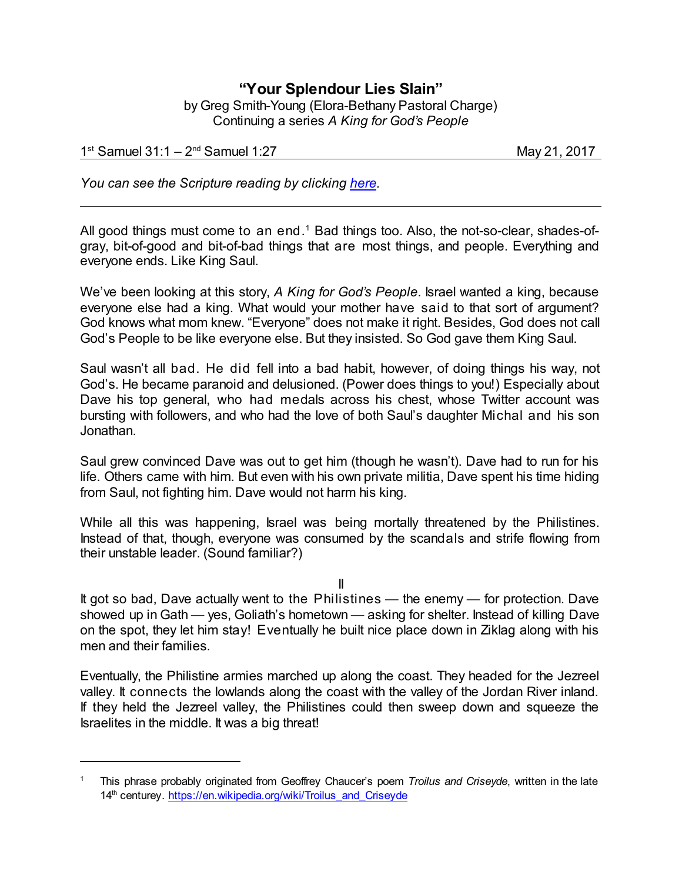## **"Your Splendour Lies Slain"** by Greg Smith-Young (Elora-Bethany Pastoral Charge) Continuing a series *A King for God's People*

1<sup>st</sup> Samuel 31:1 – 2<sup>nd</sup> Samuel 1:27 May 21, 2017

*You can see the Scripture reading by clicking [here](https://www.biblegateway.com/passage/?search=2+samuel+1%3A19-27&version=NRSVA).*

All good things must come to an end.<sup>1</sup> Bad things too. Also, the not-so-clear, shades-ofgray, bit-of-good and bit-of-bad things that are most things, and people. Everything and everyone ends. Like King Saul.

We've been looking at this story, *A King for God's People*. Israel wanted a king, because everyone else had a king. What would your mother have said to that sort of argument? God knows what mom knew. "Everyone" does not make it right. Besides, God does not call God's People to be like everyone else. But they insisted. So God gave them King Saul.

Saul wasn't all bad. He did fell into a bad habit, however, of doing things his way, not God's. He became paranoid and delusioned. (Power does things to you!) Especially about Dave his top general, who had medals across his chest, whose Twitter account was bursting with followers, and who had the love of both Saul's daughter Michal and his son Jonathan.

Saul grew convinced Dave was out to get him (though he wasn't). Dave had to run for his life. Others came with him. But even with his own private militia, Dave spent his time hiding from Saul, not fighting him. Dave would not harm his king.

While all this was happening, Israel was being mortally threatened by the Philistines. Instead of that, though, everyone was consumed by the scandals and strife flowing from their unstable leader. (Sound familiar?)

II

It got so bad, Dave actually went to the Philistines — the enemy — for protection. Dave showed up in Gath — yes, Goliath's hometown — asking for shelter. Instead of killing Dave on the spot, they let him stay! Eventually he built nice place down in Ziklag along with his men and their families.

Eventually, the Philistine armies marched up along the coast. They headed for the Jezreel valley. It connects the lowlands along the coast with the valley of the Jordan River inland. If they held the Jezreel valley, the Philistines could then sweep down and squeeze the Israelites in the middle. It was a big threat!

<sup>1</sup> This phrase probably originated from Geoffrey Chaucer's poem *Troilus and Criseyde*, written in the late 14<sup>th</sup> centurey. [https://en.wikipedia.org/wiki/Troilus\\_and\\_Criseyde](https://en.wikipedia.org/wiki/Troilus_and_Criseyde)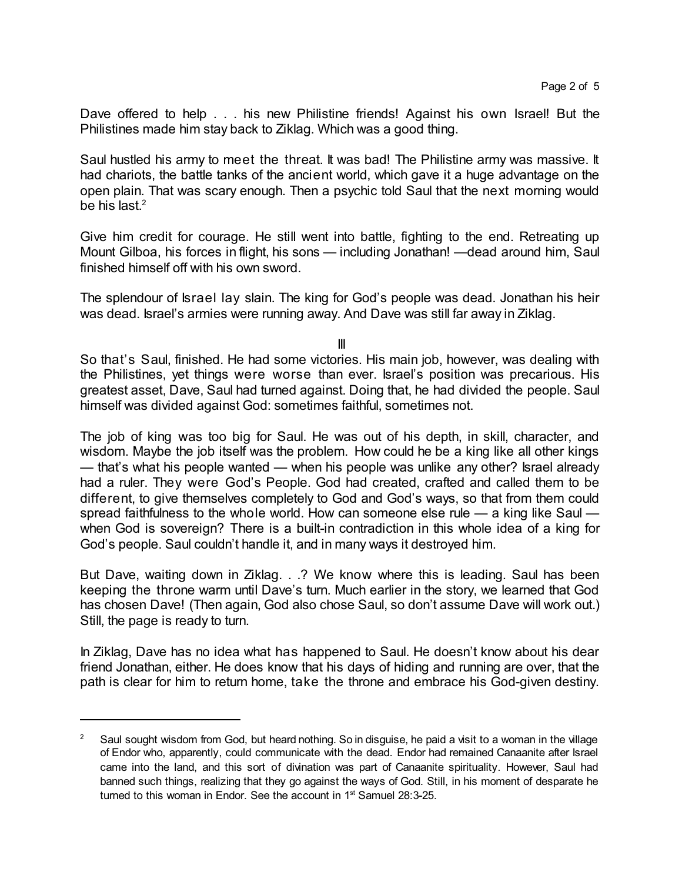Dave offered to help . . . his new Philistine friends! Against his own Israel! But the Philistines made him stay back to Ziklag. Which was a good thing.

Saul hustled his army to meet the threat. It was bad! The Philistine army was massive. It had chariots, the battle tanks of the ancient world, which gave it a huge advantage on the open plain. That was scary enough. Then a psychic told Saul that the next morning would be his last. 2

Give him credit for courage. He still went into battle, fighting to the end. Retreating up Mount Gilboa, his forces in flight, his sons — including Jonathan! —dead around him, Saul finished himself off with his own sword.

The splendour of Israel lay slain. The king for God's people was dead. Jonathan his heir was dead. Israel's armies were running away. And Dave was still far away in Ziklag.

III

So that's Saul, finished. He had some victories. His main job, however, was dealing with the Philistines, yet things were worse than ever. Israel's position was precarious. His greatest asset, Dave, Saul had turned against. Doing that, he had divided the people. Saul himself was divided against God: sometimes faithful, sometimes not.

The job of king was too big for Saul. He was out of his depth, in skill, character, and wisdom. Maybe the job itself was the problem. How could he be a king like all other kings — that's what his people wanted — when his people was unlike any other? Israel already had a ruler. They were God's People. God had created, crafted and called them to be different, to give themselves completely to God and God's ways, so that from them could spread faithfulness to the whole world. How can someone else rule  $-$  a king like Saul  $$ when God is sovereign? There is a built-in contradiction in this whole idea of a king for God's people. Saul couldn't handle it, and in many ways it destroyed him.

But Dave, waiting down in Ziklag. . .? We know where this is leading. Saul has been keeping the throne warm until Dave's turn. Much earlier in the story, we learned that God has chosen Dave! (Then again, God also chose Saul, so don't assume Dave will work out.) Still, the page is ready to turn.

In Ziklag, Dave has no idea what has happened to Saul. He doesn't know about his dear friend Jonathan, either. He does know that his days of hiding and running are over, that the path is clear for him to return home, take the throne and embrace his God-given destiny.

<sup>&</sup>lt;sup>2</sup> Saul sought wisdom from God, but heard nothing. So in disguise, he paid a visit to a woman in the village of Endor who, apparently, could communicate with the dead. Endor had remained Canaanite after Israel came into the land, and this sort of divination was part of Canaanite spirituality. However, Saul had banned such things, realizing that they go against the ways of God. Still, in his moment of desparate he turned to this woman in Endor. See the account in 1<sup>st</sup> Samuel 28:3-25.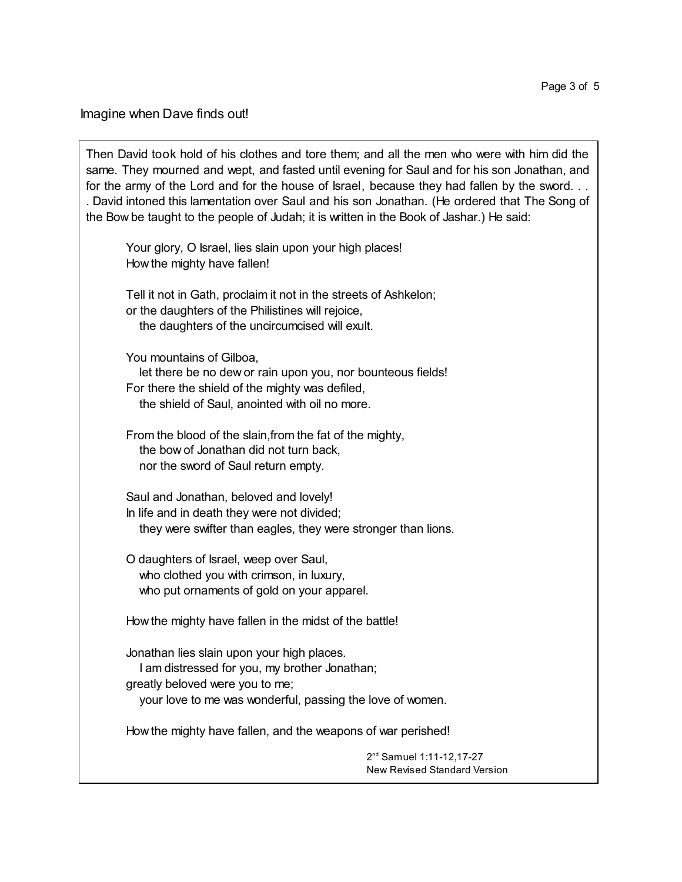Then David took hold of his clothes and tore them; and all the men who were with him did the same. They mourned and wept, and fasted until evening for Saul and for his son Jonathan, and for the army of the Lord and for the house of Israel, because they had fallen by the sword. . . . David intoned this lamentation over Saul and his son Jonathan. (He ordered that The Song of the Bow be taught to the people of Judah; it is written in the Book of Jashar.) He said:

Your glory, O Israel, lies slain upon your high places! How the mighty have fallen!

Tell it not in Gath, proclaim it not in the streets of Ashkelon; or the daughters of the Philistines will rejoice, the daughters of the uncircumcised will exult.

You mountains of Gilboa, let there be no dew or rain upon you, nor bounteous fields! For there the shield of the mighty was defiled, the shield of Saul, anointed with oil no more.

From the blood of the slain,from the fat of the mighty, the bow of Jonathan did not turn back, nor the sword of Saul return empty.

Saul and Jonathan, beloved and lovely! In life and in death they were not divided; they were swifter than eagles, they were stronger than lions.

O daughters of Israel, weep over Saul, who clothed you with crimson, in luxury, who put ornaments of gold on your apparel.

How the mighty have fallen in the midst of the battle!

Jonathan lies slain upon your high places. I am distressed for you, my brother Jonathan; greatly beloved were you to me; your love to me was wonderful, passing the love of women.

How the mighty have fallen, and the weapons of war perished!

2 nd Samuel 1:11-12,17-27 New Revised Standard Version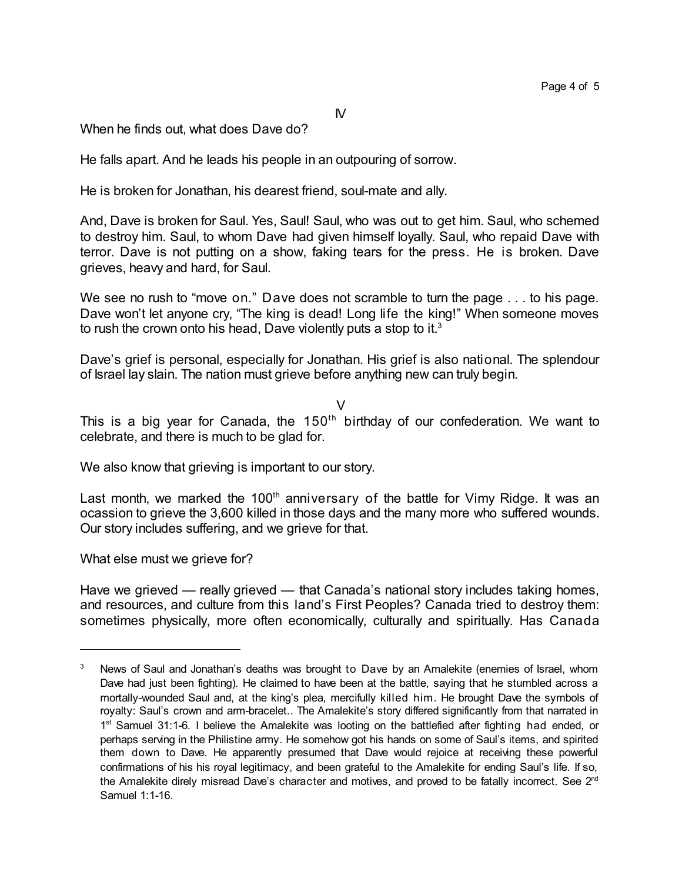When he finds out, what does Dave do?

He falls apart. And he leads his people in an outpouring of sorrow.

He is broken for Jonathan, his dearest friend, soul-mate and ally.

And, Dave is broken for Saul. Yes, Saul! Saul, who was out to get him. Saul, who schemed to destroy him. Saul, to whom Dave had given himself loyally. Saul, who repaid Dave with terror. Dave is not putting on a show, faking tears for the press. He is broken. Dave grieves, heavy and hard, for Saul.

We see no rush to "move on." Dave does not scramble to turn the page . . . to his page. Dave won't let anyone cry, "The king is dead! Long life the king!" When someone moves to rush the crown onto his head, Dave violently puts a stop to it. $^3$ 

Dave's grief is personal, especially for Jonathan. His grief is also national. The splendour of Israel lay slain. The nation must grieve before anything new can truly begin.

## $\vee$

This is a big year for Canada, the  $150<sup>th</sup>$  birthday of our confederation. We want to celebrate, and there is much to be glad for.

We also know that grieving is important to our story.

Last month, we marked the 100<sup>th</sup> anniversary of the battle for Vimy Ridge. It was an ocassion to grieve the 3,600 killed in those days and the many more who suffered wounds. Our story includes suffering, and we grieve for that.

What else must we grieve for?

Have we grieved — really grieved — that Canada's national story includes taking homes, and resources, and culture from this land's First Peoples? Canada tried to destroy them: sometimes physically, more often economically, culturally and spiritually. Has Canada

 $3$  News of Saul and Jonathan's deaths was brought to Dave by an Amalekite (enemies of Israel, whom Dave had just been fighting). He claimed to have been at the battle, saying that he stumbled across a mortally-wounded Saul and, at the king's plea, mercifully killed him. He brought Dave the symbols of royalty: Saul's crown and arm-bracelet.. The Amalekite's story differed significantly from that narrated in 1<sup>st</sup> Samuel 31:1-6. I believe the Amalekite was looting on the battlefied after fighting had ended, or perhaps serving in the Philistine army. He somehow got his hands on some of Saul's items, and spirited them down to Dave. He apparently presumed that Dave would rejoice at receiving these powerful confirmations of his his royal legitimacy, and been grateful to the Amalekite for ending Saul's life. If so, the Amalekite direly misread Dave's character and motives, and proved to be fatally incorrect. See 2<sup>nd</sup> Samuel 1:1-16.